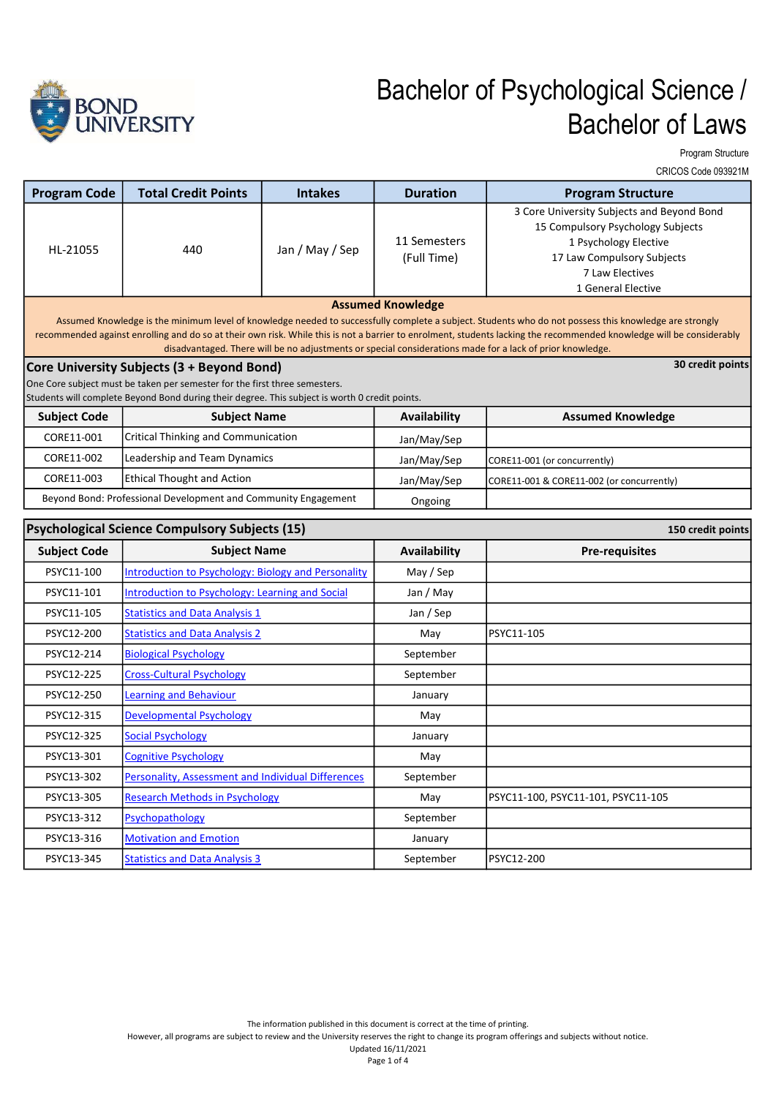

Program Structure

CRICOS Code 093921M

| <b>Program Code</b>                                                                                               | <b>Total Credit Points</b>                                                                                                                                                   | <b>Intakes</b>  | <b>Duration</b>             | <b>Program Structure</b>                                                                                                                                                                                                                                                                                                       |
|-------------------------------------------------------------------------------------------------------------------|------------------------------------------------------------------------------------------------------------------------------------------------------------------------------|-----------------|-----------------------------|--------------------------------------------------------------------------------------------------------------------------------------------------------------------------------------------------------------------------------------------------------------------------------------------------------------------------------|
| HL-21055                                                                                                          | 440                                                                                                                                                                          | Jan / May / Sep | 11 Semesters<br>(Full Time) | 3 Core University Subjects and Beyond Bond<br>15 Compulsory Psychology Subjects<br>1 Psychology Elective<br>17 Law Compulsory Subjects<br><b>7 Law Electives</b><br>1 General Elective                                                                                                                                         |
|                                                                                                                   |                                                                                                                                                                              |                 | <b>Assumed Knowledge</b>    |                                                                                                                                                                                                                                                                                                                                |
|                                                                                                                   |                                                                                                                                                                              |                 |                             | Assumed Knowledge is the minimum level of knowledge needed to successfully complete a subject. Students who do not possess this knowledge are strongly<br>recommended against enrolling and do so at their own risk. While this is not a barrier to enrolment, students lacking the recommended knowledge will be considerably |
|                                                                                                                   |                                                                                                                                                                              |                 |                             | disadvantaged. There will be no adjustments or special considerations made for a lack of prior knowledge.                                                                                                                                                                                                                      |
|                                                                                                                   | Core University Subjects (3 + Beyond Bond)                                                                                                                                   |                 |                             | 30 credit points                                                                                                                                                                                                                                                                                                               |
|                                                                                                                   | One Core subject must be taken per semester for the first three semesters.<br>Students will complete Beyond Bond during their degree. This subject is worth 0 credit points. |                 |                             |                                                                                                                                                                                                                                                                                                                                |
| <b>Subject Code</b>                                                                                               |                                                                                                                                                                              |                 | Availability                | <b>Assumed Knowledge</b>                                                                                                                                                                                                                                                                                                       |
| CORE11-001                                                                                                        | <b>Subject Name</b>                                                                                                                                                          |                 |                             |                                                                                                                                                                                                                                                                                                                                |
| CORE11-002                                                                                                        | Critical Thinking and Communication                                                                                                                                          |                 | Jan/May/Sep                 |                                                                                                                                                                                                                                                                                                                                |
|                                                                                                                   | Leadership and Team Dynamics                                                                                                                                                 |                 | Jan/May/Sep                 | CORE11-001 (or concurrently)                                                                                                                                                                                                                                                                                                   |
| CORE11-003<br><b>Ethical Thought and Action</b><br>Beyond Bond: Professional Development and Community Engagement |                                                                                                                                                                              |                 | Jan/May/Sep                 | CORE11-001 & CORE11-002 (or concurrently)                                                                                                                                                                                                                                                                                      |
|                                                                                                                   |                                                                                                                                                                              |                 | Ongoing                     |                                                                                                                                                                                                                                                                                                                                |
|                                                                                                                   | Psychological Science Compulsory Subjects (15)                                                                                                                               |                 |                             | 150 credit points                                                                                                                                                                                                                                                                                                              |
| <b>Subject Code</b>                                                                                               | <b>Subject Name</b>                                                                                                                                                          |                 | Availability                | <b>Pre-requisites</b>                                                                                                                                                                                                                                                                                                          |
| PSYC11-100                                                                                                        | <b>Introduction to Psychology: Biology and Personality</b>                                                                                                                   |                 | May / Sep                   |                                                                                                                                                                                                                                                                                                                                |
| PSYC11-101                                                                                                        | <b>Introduction to Psychology: Learning and Social</b>                                                                                                                       |                 | Jan / May                   |                                                                                                                                                                                                                                                                                                                                |
| PSYC11-105                                                                                                        | <b>Statistics and Data Analysis 1</b>                                                                                                                                        |                 | Jan / Sep                   |                                                                                                                                                                                                                                                                                                                                |
| PSYC12-200                                                                                                        | <b>Statistics and Data Analysis 2</b>                                                                                                                                        |                 | May                         | PSYC11-105                                                                                                                                                                                                                                                                                                                     |
| PSYC12-214                                                                                                        | <b>Biological Psychology</b>                                                                                                                                                 |                 | September                   |                                                                                                                                                                                                                                                                                                                                |
| PSYC12-225                                                                                                        | <b>Cross-Cultural Psychology</b>                                                                                                                                             |                 | September                   |                                                                                                                                                                                                                                                                                                                                |
| PSYC12-250                                                                                                        | <b>Learning and Behaviour</b>                                                                                                                                                |                 | January                     |                                                                                                                                                                                                                                                                                                                                |
| PSYC12-315                                                                                                        | <b>Developmental Psychology</b>                                                                                                                                              |                 | May                         |                                                                                                                                                                                                                                                                                                                                |
| PSYC12-325                                                                                                        | <b>Social Psychology</b>                                                                                                                                                     |                 | January                     |                                                                                                                                                                                                                                                                                                                                |
| PSYC13-301                                                                                                        | <b>Cognitive Psychology</b>                                                                                                                                                  |                 | May                         |                                                                                                                                                                                                                                                                                                                                |
| PSYC13-302                                                                                                        | <b>Personality, Assessment and Individual Differences</b>                                                                                                                    |                 | September                   |                                                                                                                                                                                                                                                                                                                                |
| PSYC13-305                                                                                                        | <b>Research Methods in Psychology</b>                                                                                                                                        |                 | May                         | PSYC11-100, PSYC11-101, PSYC11-105                                                                                                                                                                                                                                                                                             |
| PSYC13-312                                                                                                        | Psychopathology                                                                                                                                                              |                 | September                   |                                                                                                                                                                                                                                                                                                                                |
| PSYC13-316                                                                                                        | <b>Motivation and Emotion</b>                                                                                                                                                |                 | January                     |                                                                                                                                                                                                                                                                                                                                |
| PSYC13-345                                                                                                        | <b>Statistics and Data Analysis 3</b>                                                                                                                                        |                 | September                   | PSYC12-200                                                                                                                                                                                                                                                                                                                     |

The information published in this document is correct at the time of printing.

However, all programs are subject to review and the University reserves the right to change its program offerings and subjects without notice.

Updated 16/11/2021 Page 1 of 4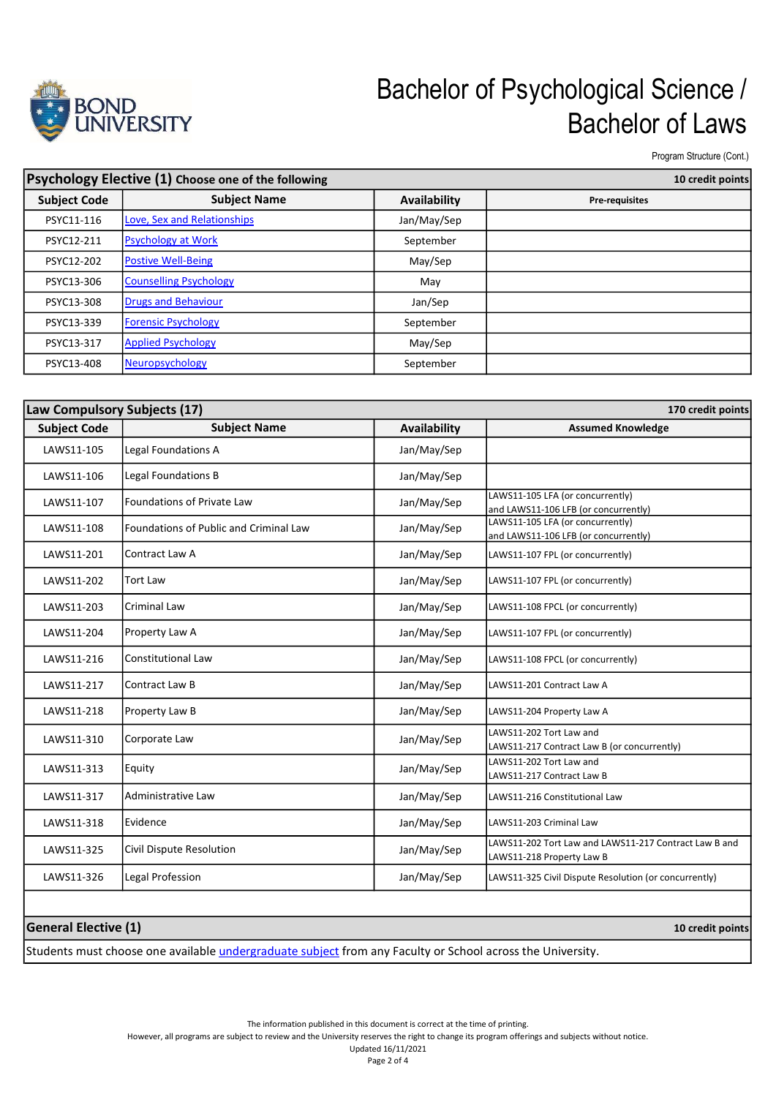

Program Structure (Cont.)

| Psychology Elective (1) Choose one of the following |                               |              | 10 credit points |
|-----------------------------------------------------|-------------------------------|--------------|------------------|
| <b>Subject Code</b>                                 | <b>Subject Name</b>           | Availability | Pre-requisites   |
| PSYC11-116                                          | Love, Sex and Relationships   | Jan/May/Sep  |                  |
| PSYC12-211                                          | <b>Psychology at Work</b>     | September    |                  |
| PSYC12-202                                          | <b>Postive Well-Being</b>     | May/Sep      |                  |
| PSYC13-306                                          | <b>Counselling Psychology</b> | May          |                  |
| PSYC13-308                                          | <b>Drugs and Behaviour</b>    | Jan/Sep      |                  |
| PSYC13-339                                          | <b>Forensic Psychology</b>    | September    |                  |
| PSYC13-317                                          | <b>Applied Psychology</b>     | May/Sep      |                  |
| PSYC13-408                                          | Neuropsychology               | September    |                  |

| Law Compulsory Subjects (17)<br>170 credit points |                                        |                     |                                                                                    |
|---------------------------------------------------|----------------------------------------|---------------------|------------------------------------------------------------------------------------|
| <b>Subject Code</b>                               | <b>Subject Name</b>                    | <b>Availability</b> | <b>Assumed Knowledge</b>                                                           |
| LAWS11-105                                        | Legal Foundations A                    | Jan/May/Sep         |                                                                                    |
| LAWS11-106                                        | Legal Foundations B                    | Jan/May/Sep         |                                                                                    |
| LAWS11-107                                        | Foundations of Private Law             | Jan/May/Sep         | LAWS11-105 LFA (or concurrently)<br>and LAWS11-106 LFB (or concurrently)           |
| LAWS11-108                                        | Foundations of Public and Criminal Law | Jan/May/Sep         | LAWS11-105 LFA (or concurrently)<br>and LAWS11-106 LFB (or concurrently)           |
| LAWS11-201                                        | Contract Law A                         | Jan/May/Sep         | LAWS11-107 FPL (or concurrently)                                                   |
| LAWS11-202                                        | <b>Tort Law</b>                        | Jan/May/Sep         | LAWS11-107 FPL (or concurrently)                                                   |
| LAWS11-203                                        | Criminal Law                           | Jan/May/Sep         | LAWS11-108 FPCL (or concurrently)                                                  |
| LAWS11-204                                        | Property Law A                         | Jan/May/Sep         | LAWS11-107 FPL (or concurrently)                                                   |
| LAWS11-216                                        | <b>Constitutional Law</b>              | Jan/May/Sep         | LAWS11-108 FPCL (or concurrently)                                                  |
| LAWS11-217                                        | Contract Law B                         | Jan/May/Sep         | LAWS11-201 Contract Law A                                                          |
| LAWS11-218                                        | Property Law B                         | Jan/May/Sep         | LAWS11-204 Property Law A                                                          |
| LAWS11-310                                        | Corporate Law                          | Jan/May/Sep         | LAWS11-202 Tort Law and<br>LAWS11-217 Contract Law B (or concurrently)             |
| LAWS11-313                                        | Equity                                 | Jan/May/Sep         | LAWS11-202 Tort Law and<br>LAWS11-217 Contract Law B                               |
| LAWS11-317                                        | Administrative Law                     | Jan/May/Sep         | LAWS11-216 Constitutional Law                                                      |
| LAWS11-318                                        | Evidence                               | Jan/May/Sep         | LAWS11-203 Criminal Law                                                            |
| LAWS11-325                                        | Civil Dispute Resolution               | Jan/May/Sep         | LAWS11-202 Tort Law and LAWS11-217 Contract Law B and<br>LAWS11-218 Property Law B |
| LAWS11-326                                        | Legal Profession                       | Jan/May/Sep         | LAWS11-325 Civil Dispute Resolution (or concurrently)                              |
|                                                   |                                        |                     |                                                                                    |

General Elective (1)

10 credit points

Students must choose one available *undergraduate subject* from any Faculty or School across the University.

The information published in this document is correct at the time of printing.

However, all programs are subject to review and the University reserves the right to change its program offerings and subjects without notice.

Updated 16/11/2021 Page 2 of 4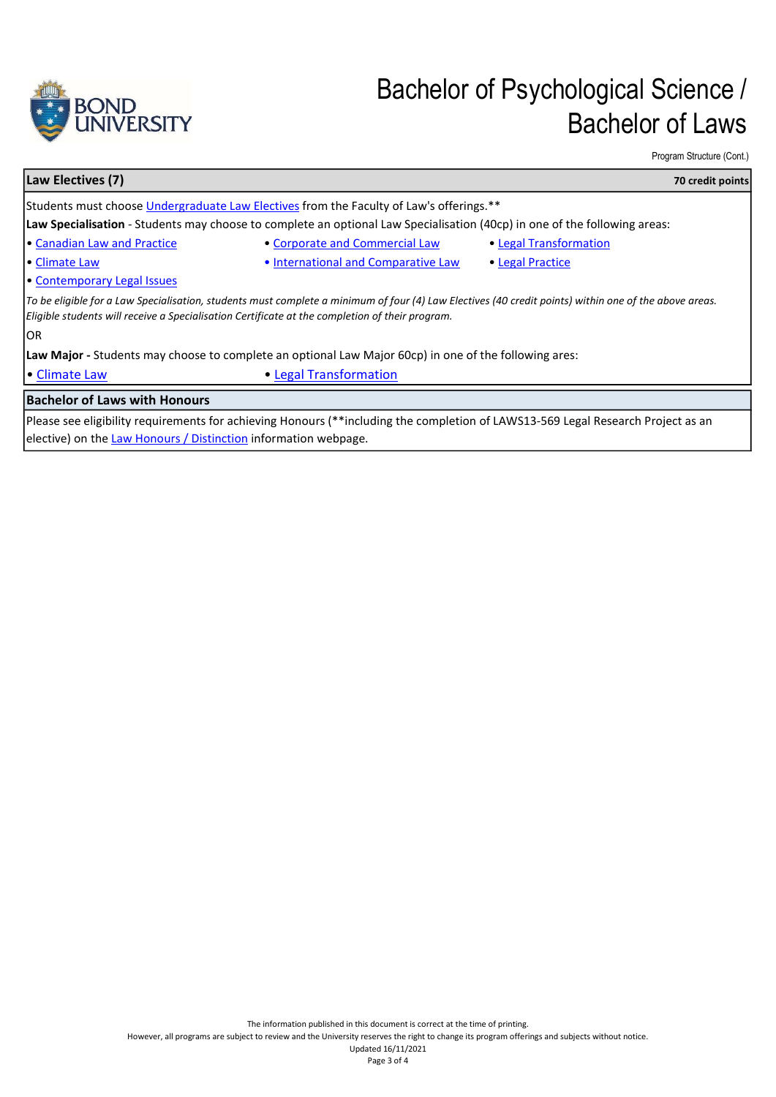

Program Structure (Cont.)

| Law Electives (7)                                                                                                                                                                                                                                               |                                     | 70 credit points       |  |
|-----------------------------------------------------------------------------------------------------------------------------------------------------------------------------------------------------------------------------------------------------------------|-------------------------------------|------------------------|--|
| Students must choose Undergraduate Law Electives from the Faculty of Law's offerings.**                                                                                                                                                                         |                                     |                        |  |
| Law Specialisation - Students may choose to complete an optional Law Specialisation (40cp) in one of the following areas:                                                                                                                                       |                                     |                        |  |
| <b>.</b> Canadian Law and Practice                                                                                                                                                                                                                              | • Corporate and Commercial Law      | • Legal Transformation |  |
| <b>• Climate Law</b>                                                                                                                                                                                                                                            | • International and Comparative Law | • Legal Practice       |  |
| • Contemporary Legal Issues                                                                                                                                                                                                                                     |                                     |                        |  |
| To be eligible for a Law Specialisation, students must complete a minimum of four (4) Law Electives (40 credit points) within one of the above areas.<br>Eligible students will receive a Specialisation Certificate at the completion of their program.<br>IOR |                                     |                        |  |
| Law Major - Students may choose to complete an optional Law Major 60cp) in one of the following ares:                                                                                                                                                           |                                     |                        |  |
| • Climate Law                                                                                                                                                                                                                                                   | • Legal Transformation              |                        |  |
| <b>Bachelor of Laws with Honours</b>                                                                                                                                                                                                                            |                                     |                        |  |
| Please see eligibility requirements for achieving Honours (**including the completion of LAWS13-569 Legal Research Project as an<br>elective) on the Law Honours / Distinction information webpage.                                                             |                                     |                        |  |